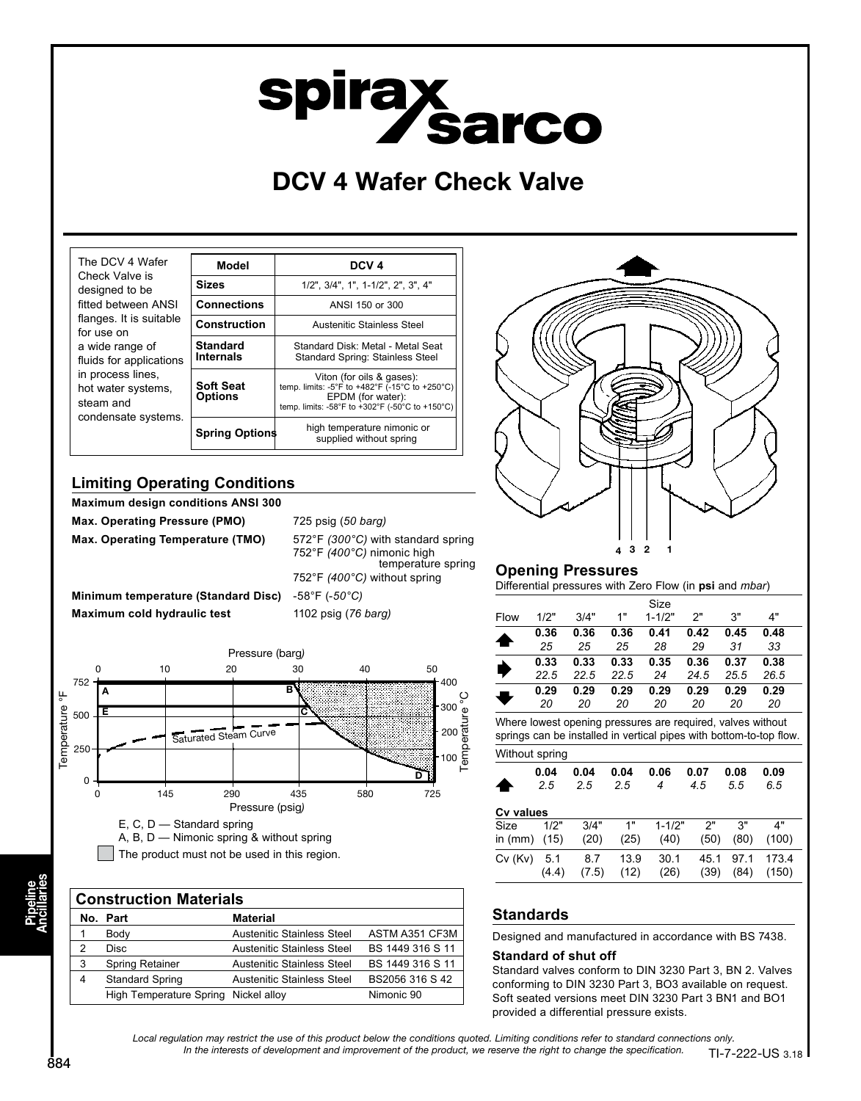# **spiray<br>Sarco**

# DCV 4 Wafer Check Valve

| The DCV 4 Wafer<br>Check Valve is                                                                                                                                                         | Model                               | DCV <sub>4</sub>                                                                                                                                    |  |  |
|-------------------------------------------------------------------------------------------------------------------------------------------------------------------------------------------|-------------------------------------|-----------------------------------------------------------------------------------------------------------------------------------------------------|--|--|
| designed to be                                                                                                                                                                            | <b>Sizes</b>                        | 1/2", 3/4", 1", 1-1/2", 2", 3", 4"                                                                                                                  |  |  |
| fitted between ANSI<br>flanges. It is suitable<br>for use on<br>a wide range of<br>fluids for applications<br>in process lines.<br>hot water systems,<br>steam and<br>condensate systems. | <b>Connections</b>                  | ANSI 150 or 300                                                                                                                                     |  |  |
|                                                                                                                                                                                           | <b>Construction</b>                 | Austenitic Stainless Steel                                                                                                                          |  |  |
|                                                                                                                                                                                           | <b>Standard</b><br><b>Internals</b> | Standard Disk: Metal - Metal Seat<br>Standard Spring: Stainless Steel                                                                               |  |  |
|                                                                                                                                                                                           | <b>Soft Seat</b><br><b>Options</b>  | Viton (for oils & gases):<br>temp. limits: -5°F to +482°F (-15°C to +250°C)<br>EPDM (for water):<br>temp. limits: -58°F to +302°F (-50°C to +150°C) |  |  |
|                                                                                                                                                                                           | <b>Spring Options</b>               | high temperature nimonic or<br>supplied without spring                                                                                              |  |  |

## **Limiting Operating Conditions**

**Maximum design conditions ANSI 300**

**Max. Operating Pressure (PMO)** 725 psig (*50 barg)* **Max. Operating Temperature (TMO)** 572°F *(300°C)* with standard spring

752°F *(400°C)* nimonic high temperature spring 752°F *(400°C)* without spring **Minimum temperature (Standard Disc)** -58°F (-*50°C)* **Maximum cold hydraulic test** 1102 psig (*76 barg)*

Pressure (barg) 0 10 20 30 40 50 752 400 B A Temperature °F ပ္စ Temperature °C 300 **Temperature** E C 500 Saturated Steam Curve 200 250 100 5 0 0 145 290 435 580 725 Pressure (psig) E, C, D — Standard spring

A, B, D — Nimonic spring & without spring The product must not be used in this region.

|                | <b>Construction Materials</b>        |                            |                  |  |  |  |  |
|----------------|--------------------------------------|----------------------------|------------------|--|--|--|--|
|                | No. Part                             | <b>Material</b>            |                  |  |  |  |  |
|                | Body                                 | Austenitic Stainless Steel | ASTM A351 CF3M   |  |  |  |  |
| 2              | <b>Disc</b>                          | Austenitic Stainless Steel | BS 1449 316 S 11 |  |  |  |  |
| 3              | Spring Retainer                      | Austenitic Stainless Steel | BS 1449 316 S 11 |  |  |  |  |
| $\overline{4}$ | <b>Standard Spring</b>               | Austenitic Stainless Steel | BS2056 316 S 42  |  |  |  |  |
|                | High Temperature Spring Nickel alloy |                            | Nimonic 90       |  |  |  |  |



## **Opening Pressures**

Differential pressures with Zero Flow (in **psi** and *mbar*)

| Flow | 1/2" | 3/4" | 1"   | Size<br>$1 - 1/2"$ | 2"   | 3"   | 4"   |
|------|------|------|------|--------------------|------|------|------|
|      | 0.36 | 0.36 | 0.36 | 0.41               | 0.42 | 0.45 | 0.48 |
|      | 25   | 25   | 25   | 28                 | 29   | 31   | 33   |
|      | 0.33 | 0.33 | 0.33 | 0.35               | 0.36 | 0.37 | 0.38 |
|      | 22.5 | 22.5 | 22.5 | 24                 | 24.5 | 25.5 | 26.5 |
|      | 0.29 | 0.29 | 0.29 | 0.29               | 0.29 | 0.29 | 0.29 |
|      | 20   | 20   | 20   | 20                 | 20   | 20   | 20   |

springs can be installed in vertical pipes with bottom-to-top flow.

|                  | Without spring |             |             |            |             |             |             |  |  |
|------------------|----------------|-------------|-------------|------------|-------------|-------------|-------------|--|--|
|                  | 0.04<br>2.5    | 0.04<br>2.5 | 0.04<br>2.5 | 0.06<br>4  | 0.07<br>4.5 | 0.08<br>5.5 | 0.09<br>6.5 |  |  |
| <b>Cv values</b> |                |             |             |            |             |             |             |  |  |
| Size             | 1/2"           | 3/4"        | 1"          | $1 - 1/2"$ | 2"          | 3"          | 4"          |  |  |
| in $(mm)$        | (15)           | (20)        | (25)        | (40)       | (50)        | (80)        | (100)       |  |  |
| $Cv$ ( $Kv$ )    | 5.1            | 8.7         | 13.9        | 30.1       | 45.1        | 971         | 173.4       |  |  |
|                  | (4.4)          | (7.5)       | (12)        | (26)       | (39)        | (84)        | (150)       |  |  |

## **Standards**

Designed and manufactured in accordance with BS 7438.

### **Standard of shut off**

Standard valves conform to DIN 3230 Part 3, BN 2. Valves conforming to DIN 3230 Part 3, BO3 available on request. Soft seated versions meet DIN 3230 Part 3 BN1 and BO1 provided a differential pressure exists.

Local regulation may restrict the use of this product below the conditions quoted. Limiting conditions refer to standard connections only. In the interests of development and improvement of the product, we reserve the right to change the specification.